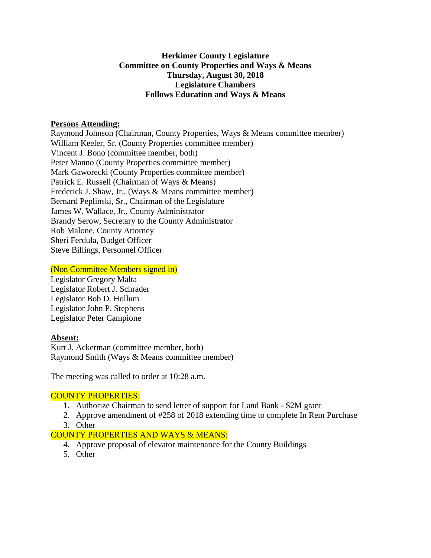## **Herkimer County Legislature Committee on County Properties and Ways & Means Thursday, August 30, 2018 Legislature Chambers Follows Education and Ways & Means**

#### **Persons Attending:**

Raymond Johnson (Chairman, County Properties, Ways & Means committee member) William Keeler, Sr. (County Properties committee member) Vincent J. Bono (committee member, both) Peter Manno (County Properties committee member) Mark Gaworecki (County Properties committee member) Patrick E. Russell (Chairman of Ways & Means) Frederick J. Shaw, Jr., (Ways & Means committee member) Bernard Peplinski, Sr., Chairman of the Legislature James W. Wallace, Jr., County Administrator Brandy Serow, Secretary to the County Administrator Rob Malone, County Attorney Sheri Ferdula, Budget Officer Steve Billings, Personnel Officer

#### (Non Committee Members signed in)

Legislator Gregory Malta Legislator Robert J. Schrader Legislator Bob D. Hollum Legislator John P. Stephens Legislator Peter Campione

## **Absent:**

Kurt J. Ackerman (committee member, both) Raymond Smith (Ways & Means committee member)

The meeting was called to order at 10:28 a.m.

## COUNTY PROPERTIES:

- 1. Authorize Chairman to send letter of support for Land Bank \$2M grant
- 2. Approve amendment of #258 of 2018 extending time to complete In Rem Purchase
- 3. Other

## COUNTY PROPERTIES AND WAYS & MEANS:

- 4. Approve proposal of elevator maintenance for the County Buildings
- 5. Other